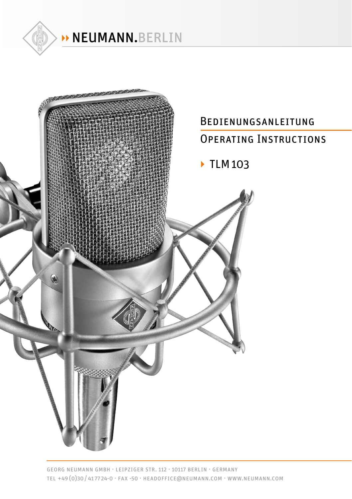



# Bedienungsanleitung

# Operating Instructions



# NEUMANN.BERLIN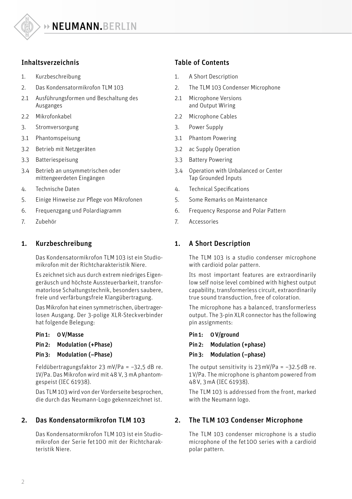

# Inhaltsverzeichnis

- 1. Kurzbeschreibung
- 2. Das Kondensatormikrofon TLM 103
- 2.1 Ausführungsformen und Beschaltung des Ausganges
- 2.2 Mikrofonkabel
- 3. Stromversorgung
- 3.1 Phantomspeisung
- 3.2 Betrieb mit Netzgeräten
- 3.3 Batteriespeisung
- 3.4 Betrieb an unsymmetrischen oder mittengeerdeten Eingängen
- 4. Technische Daten
- 5. Einige Hinweise zur Pflege von Mikrofonen
- 6. Frequenzgang und Polardiagramm
- 7. Zubehör

# 1. Kurzbeschreibung

Das Kondensatormikrofon TLM 103 ist ein Studiomikrofon mit der Richtcharakteristik Niere.

Es zeichnet sich aus durch extrem niedriges Eigengeräusch und höchste Aussteuerbarkeit, transformatorlose Schaltungstechnik, besonders saubere, freie und verfärbungsfreie Klangübertragung.

Das Mikrofon hat einen symmetrischen, übertragerlosen Ausgang. Der 3-polige XLR-Steckverbinder hat folgende Belegung:

- Pin1: 0V/Masse
- Pin2: Modulation (+Phase)
- Pin3: Modulation (–Phase)

Feldübertragungsfaktor 23 mV/Pa = –32,5 dB re. 1V/Pa. Das Mikrofon wird mit 48 V, 3 mA phantomgespeist (IEC 61938).

Das TLM 103 wird von der Vorderseite besprochen, die durch das Neumann-Logo gekennzeichnet ist.

# 2. Das Kondensatormikrofon TLM 103

Das Kondensatormikrofon TLM 103 ist ein Studiomikrofon der Serie fet 100 mit der Richtcharakteristik Niere.

# Table of Contents

- 1. A Short Description
- 2. The TLM 103 Condenser Microphone
- 2.1 Microphone Versions and Output Wiring
- 2.2 Microphone Cables
- 3. Power Supply
- 3.1 Phantom Powering
- 3.2 ac Supply Operation
- 3.3 Battery Powering
- 3.4 Operation with Unbalanced or Center Tap Grounded Inputs
- 4. Technical Specifications
- 5. Some Remarks on Maintenance
- 6. Frequency Response and Polar Pattern
- 7. Accessories

# 1. A Short Description

The TLM 103 is a studio condenser microphone with cardioid polar pattern.

Its most important features are extraordinarily low self noise level combined with highest output capability, transformerless circuit, extraordinarily true sound transduction, free of coloration.

The microphone has a balanced, transformerless output. The 3-pin XLR connector has the following pin assignments:

- Pin1: 0V/ground
- Pin2: Modulation (+phase)
- Pin3: Modulation (–phase)

The output sensitivity is 23mV/Pa = –32.5dB re. 1V/Pa. The microphone is phantom powered from 48V, 3mA (IEC 61938).

The TLM 103 is addressed from the front, marked with the Neumann logo.

### 2. The TLM 103 Condenser Microphone

The TLM 103 condenser microphone is a studio microphone of the fet 100 series with a cardioid polar pattern.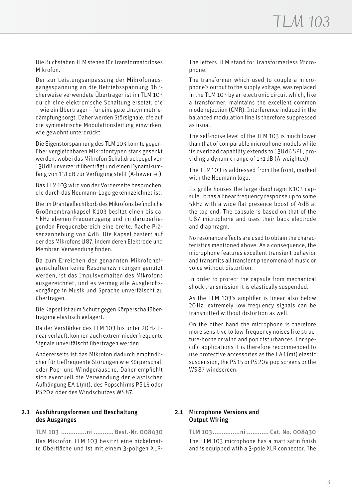Die Buchstaben TLM stehen für Transformatorloses Mikrofon.

Der zur Leistungsanpassung der Mikrofonausgangsspannung an die Betriebsspannung üblicherweise verwendete Übertrager ist im TLM 103 durch eine elektronische Schaltung ersetzt, die – wie ein Übertrager – für eine gute Unsymmetriedämpfung sorgt. Daher werden Störsignale, die auf die symmetrische Modulationsleitung einwirken, wie gewohnt unterdrückt.

Die Eigenstörspannung des TLM 103 konnte gegenüber vergleichbaren Mikrofontypen stark gesenkt werden, wobei das Mikrofon Schalldruckpegel von 138dB unverzerrt überträgt und einen Dynamikumfang von 131dB zur Verfügung stellt (A-bewertet).

Das TLM103 wird von der Vorderseite besprochen, die durch das Neumann-Logo gekennzeichnet ist.

Die im Drahtgeflechtkorb des Mikrofons befindliche Großmembrankapsel K 103 besitzt einen bis ca. 5 kHz ebenen Frequenzgang und im darüberliegenden Frequenzbereich eine breite, flache Präsenzanhebung von 4 dB. Die Kapsel basiert auf der des MikrofonsU87, indem deren Elektrode und Membran Verwendung finden.

Da zum Erreichen der genannten Mikrofoneigenschaften keine Resonanzwirkungen genutzt werden, ist das Impulsverhalten des Mikrofons ausgezeichnet, und es vermag alle Ausgleichsvorgänge in Musik und Sprache unverfälscht zu übertragen.

Die Kapsel ist zum Schutz gegen Körperschallübertragung elastisch gelagert.

Da der Verstärker des TLM 103 bis unter 20Hz linear verläuft, können auch extrem niederfrequente Signale unverfälscht übertragen werden.

Andererseits ist das Mikrofon dadurch empfindlicher für tieffrequente Störungen wie Körperschall oder Pop- und Windgeräusche. Daher empfiehlt sich eventuell die Verwendung der elastischen Aufhängung EA 1 (mt), des Popschirms PS15 oder PS20a oder des Windschutzes WS87.

#### 2.1 Ausführungsformen und Beschaltung des Ausganges

TLM 103 ..............ni ........... Best.-Nr. 008430 Das Mikrofon TLM 103 besitzt eine nickelmatte Oberfläche und ist mit einem 3-poligen XLR- The letters TLM stand for Transformerless Microphone.

The transformer which used to couple a microphone's output to the supply voltage, was replaced in the TLM 103 by an electronic circuit which, like a transformer, maintains the excellent common mode rejection (CMR). Interference induced in the balanced modulation line is therefore suppressed as usual.

The self-noise level of the TLM 103 is much lower than that of comparable microphone models while its overload capability extends to 138dB SPL, providing a dynamic range of 131dB (A-weighted).

The TLM103 is addressed from the front, marked with the Neumann logo.

Its grille houses the large diaphragm K103 capsule. It has a linear frequency response up to some 5 kHz with a wide flat presence boost of 4dB at the top end. The capsule is based on that of the U87 microphone and uses their back electrode and diaphragm.

No resonance effects are used to obtain the characteristics mentioned above. As a consequence, the microphone features excellent transient behavior and transmits all transient phenomena of music or voice without distortion.

In order to protect the capsule from mechanical shock transmission it is elastically suspended.

As the TLM 103's amplifier is linear also below 20Hz, extremely low frequency signals can be transmitted without distortion as well.

On the other hand the microphone is therefore more sensitive to low-frequency noises like structure-borne or wind and pop disturbances. For specific applications it is therefore recommended to use protective accessories as the EA1 (mt) elastic suspension, the PS15 or PS20a pop screens or the WS87 windscreen.

#### 2.1 Microphone Versions and Output Wiring

TLM 103...............ni ............ Cat. No. 008430 The TLM 103 microphone has a matt satin finish and is equipped with a 3-pole XLR connector. The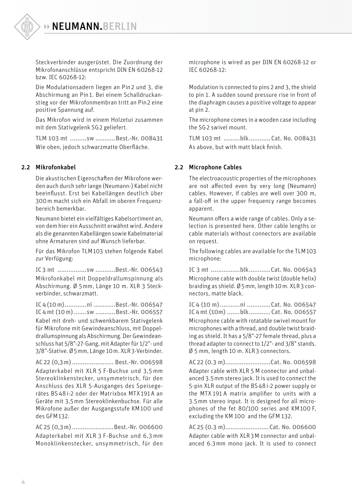

Steckverbinder ausgerüstet. Die Zuordnung der Mikrofonanschlüsse entspricht DIN EN 60268-12 bzw. IEC 60268-12:

Die Modulationsadern liegen an Pin 2 und 3, die Abschirmung an Pin1. Bei einem Schalldruckanstieg vor der Mikrofonmembran tritt an Pin 2 eine positive Spannung auf.

Das Mikrofon wird in einem Holzetui zusammen mit dem Stativgelenk SG2 geliefert.

TLM 103 mt .........sw ...........Best.-Nr. 008431 Wie oben, jedoch schwarzmatte Oberfläche.

### 2.2 Mikrofonkabel

Die akustischen Eigenschaften der Mikrofone werden auch durch sehr lange (Neumann-) Kabel nicht beeinflusst. Erst bei Kabellängen deutlich über 300m macht sich ein Abfall im oberen Frequenzbereich bemerkbar.

Neumann bietet ein vielfältiges Kabelsortiment an, von dem hier ein Ausschnitt erwähnt wird. Andere als die genannten Kabellängen sowie Kabelmaterial ohne Armaturen sind auf Wunsch lieferbar.

Für das Mikrofon TLM103 stehen folgende Kabel zur Verfügung:

IC3 mt ................sw ...........Best.-Nr. 006543 Mikrofonkabel mit Doppeldrallumspinnung als Abschirmung. Ø 5mm, Länge 10 m. XLR 3 Steckverbinder, schwarzmatt.

IC4(10m)............ni ............Best.-Nr. 006547 IC4mt (10m).......sw ...........Best.-Nr. 006557 Kabel mit dreh- und schwenkbarem Stativgelenk für Mikrofone mit Gewindeanschluss, mit Doppeldrallumspinnung als Abschirmung. Der Gewindeanschluss hat 5/8"-27-Gang, mit Adapter für 1/2"- und 3/8"-Stative. Ø5mm, Länge 10m. XLR3-Verbinder.

AC22 (0,3m)....................... Best.-Nr. 006598 Adapterkabel mit XLR 5 F-Buchse und 3,5 mm Stereoklinkenstecker, unsymmetrisch, für den Anschluss des XLR 5-Ausganges des Speisegerätes BS 48 i-2 oder der Matrixbox MTX 191 A an Geräte mit 3,5mm Stereoklinkenbuchse. Für alle Mikrofone außer der Ausgangsstufe KM100 und des GFM132.

AC25 (0,3m).......................Best.-Nr. 006600 Adapterkabel mit XLR 3 F-Buchse und 6,3 mm Monoklinkenstecker, unsymmetrisch, für den microphone is wired as per DIN EN 60268-12 or IEC 60268-12:

Modulation is connected to pins 2 and 3, the shield to pin 1. A sudden sound pressure rise in front of the diaphragm causes a positive voltage to appear at pin 2.

The microphone comes in a wooden case including the SG2 swivel mount.

TLM 103 mt .........blk............Cat. No. 008431 As above, but with matt black finish.

#### 2.2 Microphone Cables

The electroacoustic properties of the microphones are not affected even by very long (Neumann) cables. However, if cables are well over 300 m, a fall-off in the upper frequency range becomes apparent.

Neumann offers a wide range of cables. Only a selection is presented here. Other cable lengths or cable materials without connectors are available on request.

The following cables are available for the TLM103 microphone:

IC 3 mt ................blk............Cat. No. 006543 Microphone cable with double twist (double helix) braiding as shield. Ø5mm, length 10m. XLR3 connectors, matte black.

IC4 (10 m)...........ni .............Cat. No. 006547 IC4mt (10m) .......blk............Cat. No. 006557 Microphone cable with rotatable swivel mount for microphones with a thread, and double twist braiding as shield. It has a 5/8"-27 female thread, plus a thread adapter to connect to 1/2"- and 3/8" stands. Ø 5 mm, length 10 m. XLR3 connectors.

AC22 (0.3 m).........................Cat. No. 006598 Adapter cable with XLR 5 M connector and unbalanced 3.5mm stereo jack. It is used to connect the 5-pin XLR output of the BS48i-2 power supply or the MTX 191 A matrix amplifier to units with a 3.5mm stereo input. It is designed for all microphones of the fet 80/100 series and KM100 F, excluding the KM 100 and the GFM 132.

AC25 (0.3 m)........................Cat. No. 006600 Adapter cable with XLR3M connector and unbalanced 6.3mm mono jack. It is used to connect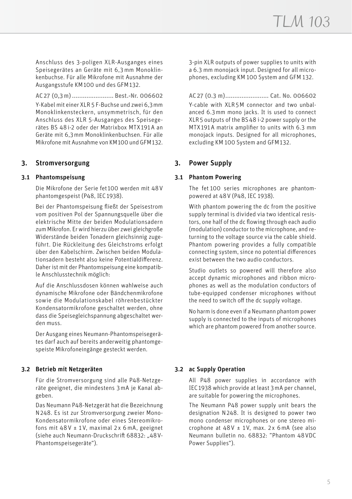Anschluss des 3-poligen XLR-Ausganges eines Speisegerätes an Geräte mit 6,3 mm Monoklinkenbuchse. Für alle Mikrofone mit Ausnahme der Ausgangsstufe KM100 und des GFM132.

AC27 (0,3m)....................... Best.-Nr. 006602 Y-Kabel mit einer XLR 5 F-Buchse und zwei 6,3mm Monoklinkensteckern, unsymmetrisch, für den Anschluss des XLR 5-Ausganges des Speisegerätes BS 48i-2 oder der Matrixbox MTX 191A an Geräte mit 6,3mm Monoklinkenbuchsen. Für alle Mikrofone mit Ausnahme von KM100 und GFM132.

### 3. Stromversorgung

#### 3.1 Phantomspeisung

Die Mikrofone der Serie fet 100 werden mit 48V phantomgespeist (P48, IEC1938).

Bei der Phantomspeisung fließt der Speisestrom vom positiven Pol der Spannungsquelle über die elektrische Mitte der beiden Modulationsadern zum Mikrofon. Er wird hierzu über zwei gleichgroße Widerstände beiden Tonadern gleichsinnig zugeführt. Die Rückleitung des Gleichstroms erfolgt über den Kabelschirm. Zwischen beiden Modulationsadern besteht also keine Potentialdifferenz. Daher ist mit der Phantomspeisung eine kompatible Anschlusstechnik möglich:

Auf die Anschlussdosen können wahlweise auch dynamische Mikrofone oder Bändchenmikrofone sowie die Modulationskabel röhrenbestückter Kondensatormikrofone geschaltet werden, ohne dass die Speisegleichspannung abgeschaltet werden muss.

Der Ausgang eines Neumann-Phantomspeisegerätes darf auch auf bereits anderweitig phantomgespeiste Mikrofoneingänge gesteckt werden.

#### 3.2 Betrieb mit Netzgeräten

Für die Stromversorgung sind alle P48-Netzgeräte geeignet, die mindestens 3mA je Kanal abgeben.

Das Neumann P48-Netzgerät hat die Bezeichnung N248. Es ist zur Stromversorgung zweier Mono-Kondensatormikrofone oder eines Stereomikrofons mit  $48V \pm 1V$ , maximal 2x 6 mA, geeignet (siehe auch Neumann-Druckschrift 68832: "48V-Phantomspeisegeräte").

3-pin XLR outputs of power supplies to units with a 6.3 mm monojack input. Designed for all microphones, excluding KM 100 System and GFM 132.

AC27 (0.3 m)........................ Cat. No. 006602 Y-cable with XLR5M connector and two unbalanced 6.3mm mono jacks. It is used to connect XLR5 outputs of the BS48 i-2 power supply or the MTX191A matrix amplifier to units with 6.3 mm monojack inputs. Designed for all microphones, excluding KM 100 System and GFM132.

# 3. Power Supply

#### 3.1 Phantom Powering

The fet 100 series microphones are phantompowered at 48V (P48, IEC 1938).

With phantom powering the dc from the positive supply terminal is divided via two identical resistors, one half of the dc flowing through each audio (modulation) conductor to the microphone, and returning to the voltage source via the cable shield. Phantom powering provides a fully compatible connecting system, since no potential differences exist between the two audio conductors.

Studio outlets so powered will therefore also accept dynamic microphones and ribbon microphones as well as the modulation conductors of tube-equipped condenser microphones without the need to switch off the dc supply voltage.

No harm is done even if a Neumann phantom power supply is connected to the inputs of microphones which are phantom powered from another source.

#### 3.2 ac Supply Operation

All P48 power supplies in accordance with IEC1938 which provide at least 3mA per channel, are suitable for powering the microphones.

The Neumann P48 power supply unit bears the designation N248. It is designed to power two mono condenser microphones or one stereo microphone at  $48V + 1V$ , max. 2x 6mA (see also Neumann bulletin no. 68832: "Phantom 48VDC Power Supplies").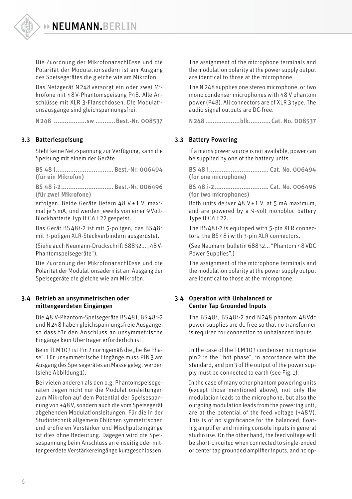Die Zuordnung der Mikrofonanschlüsse und die Polarität der Modulationsadern ist am Ausgang des Speisegerätes die gleiche wie am Mikrofon.

Das Netzgerät N 248 versorgt ein oder zwei Mikrofone mit 48V-Phantomspeisung P48. Alle Anschlüsse mit XLR 3-Flanschdosen. Die Modulationsausgänge sind gleichspannungsfrei.

N248 ..................sw ...........Best.-Nr. 008537

#### 3.3 Batteriespeisung

Steht keine Netzspannung zur Verfügung, kann die Speisung mit einem der Geräte

BS 48 i................................ Best.-Nr. 006494 (für ein Mikrofon)

BS 48 i-2............................. Best.-Nr. 006496 (für zwei Mikrofone)

erfolgen. Beide Geräte liefern 48 V ± 1 V, maximal je 5 mA, und werden jeweils von einer 9Volt-Blockbatterie Typ IEC6F 22 gespeist.

Das Gerät BS48i-2 ist mit 5-poligen, das BS48i mit 3-poligen XLR-Steckverbindern ausgerüstet.

(Siehe auch Neumann-Druckschrift 68832... "48V-Phantomspeisegeräte").

Die Zuordnung der Mikrofonanschlüsse und die Polarität der Modulationsadern ist am Ausgang der Speisegeräte die gleiche wie am Mikrofon.

#### 3.4 Betrieb an unsymmetrischen oder mittengeerdeten Eingängen

Die 48 V-Phantom-Speisegeräte BS48i, BS48i-2 und N248 haben gleichspannungsfreie Ausgänge, so dass für den Anschluss an unsymmetrische Eingänge kein Übertrager erforderlich ist.

Beim TLM103 ist Pin2 normgemäß die "heiße Phase". Für unsymmetrische Eingänge muss PIN3 am Ausgang des Speisegerätes an Masse gelegt werden (siehe Abbildung 1).

Bei vielen anderen als den o.g. Phantomspeisegeräten liegen nicht nur die Modulationsleitungen zum Mikrofon auf dem Potential der Speisespannung von +48V, sondern auch die vom Speisegerät abgehenden Modulationsleitungen. Für die in der Studiotechnik allgemein üblichen symmetrischen und erdfreien Verstärker und Mischpulteingänge ist dies ohne Bedeutung. Dagegen wird die Speisespannung beim Anschluss an einseitig oder mittengeerdete Verstärkereingänge kurzgeschlossen, The assignment of the microphone terminals and the modulation polarity at the power supply output are identical to those at the microphone.

The N 248 supplies one stereo microphone, or two mono condenser microphones with 48 V phantom power (P48). All connectors are of XLR 3 type. The audio signal outputs are DC-free.

N248...................blk............Cat. No. 008537

#### 3.3 Battery Powering

If a mains power source is not available, power can be supplied by one of the battery units

BS 48 i................................. Cat. No. 006494 (for one microphone)

BS 48 i-2.............................. Cat. No. 006496 (for two microphones)

Both units deliver  $48$  V $\pm$ 1 V, at 5 mA maximum, and are powered by a 9-volt monobloc battery Type IEC6F 22.

The BS48i-2 is equipped with 5-pin XLR connectors, the BS48i with 3-pin XLR connectors.

(See Neumann bulletin 68832... "Phantom 48VDC Power Supplies".)

The assignment of the microphone terminals and the modulation polarity at the power supply output are identical to those at the microphone.

#### 3.4 Operation with Unbalanced or Center Tap Grounded lnputs

The BS48i, BS48i-2 and N248 phantom 48Vdc power supplies are dc-free so that no transformer is required for connection to unbalanced inputs.

In the case of the TLM103 condenser microphone pin2 is the "hot phase", in accordance with the standard, and pin3 of the output of the power supply must be connected to earth (see Fig. 1).

In the case of many other phantom powering units (except those mentioned above), not only the modulation leads to the microphone, but also the outgoing modulation leads from the powering unit, are at the potential of the feed voltage (+48V). This is of no significance for the balanced, floating amplifier and mixing console inputs in general studio use. On the other hand, the feed voltage will be short-circuited when connected to single-ended or center tap grounded amplifier inputs, and no op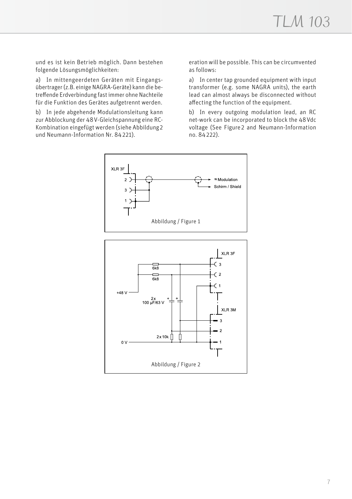und es ist kein Betrieb möglich. Dann bestehen folgende Lösungsmöglichkeiten:

a) In mittengeerdeten Geräten mit Eingangsübertrager (z.B. einige NAGRA-Geräte) kann die betreffende Erdverbindung fast immer ohne Nachteile für die Funktion des Gerätes aufgetrennt werden.

b) In jede abgehende Modulationsleitung kann zur Abblockung der 48V-Gleichspannung eine RC-Kombination eingefügt werden (siehe Abbildung 2 und Neumann-Information Nr. 84221).

eration will be possible. This can be circumvented as follows:

a) In center tap grounded equipment with input transformer (e.g. some NAGRA units), the earth lead can almost always be disconnected without affecting the function of the equipment.

b) In every outgoing modulation lead, an RC net-work can be incorporated to block the 48Vdc voltage (See Figure 2 and Neumann-Information no. 84222).

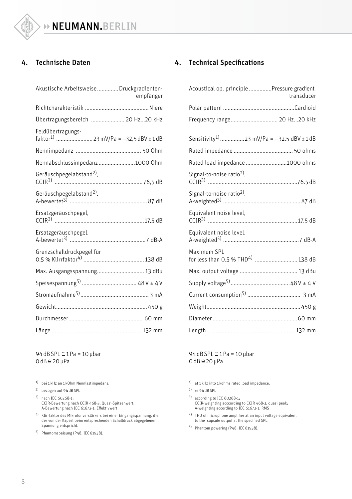

# 4. Technische Daten

| Akustische ArbeitsweiseDruckgradienten-<br>empfänger |
|------------------------------------------------------|
|                                                      |
| Übertragungsbereich  20 Hz20 kHz                     |
| Feldübertragungs-                                    |
|                                                      |
| Nennabschlussimpedanz 1000 Ohm                       |
| Geräuschpegelabstand <sup>2)</sup> ,                 |
| Geräuschpegelabstand <sup>2)</sup> ,                 |
| Ersatzgeräuschpegel,                                 |
| Ersatzgeräuschpegel,                                 |
| Grenzschalldruckpegel für                            |
| Max. Ausgangsspannung 13 dBu                         |
|                                                      |
|                                                      |
|                                                      |
|                                                      |
|                                                      |

#### 94 dB SPL  $\widehat{=}$  1 Pa = 10 µbar  $0 dB \triangleq 20 \mu Pa$

1) bei 1 kHz an 1 kOhm Nennlastimpedanz.

- 2) bezogen auf 94 dB SPL
- 3) nach IEC 60268-1; CCIR-Bewertung nach CCIR 468-3, Quasi-Spitzenwert; A-Bewertung nach IEC 61672-1, Effektivwert
- 4) Klirrfaktor des Mikrofonverstärkers bei einer Eingangsspannung, die der von der Kapsel beim entsprechenden Schalldruck abgegebenen Spannung entspricht.
- 5) Phantomspeisung (P48, IEC 61938).

# 4. Technical Specifications

| Acoustical op. principle Pressure gradient<br>transducer    |  |
|-------------------------------------------------------------|--|
|                                                             |  |
| Frequency range 20 Hz20 kHz                                 |  |
| Sensitivity <sup>1)</sup> 23 mV/Pa = -32.5 dBV ± 1 dB       |  |
|                                                             |  |
| Rated load impedance 1000 ohms                              |  |
| Signal-to-noise ratio <sup>2)</sup> ,                       |  |
| Signal-to-noise ratio <sup>2)</sup> ,                       |  |
| Equivalent noise level,                                     |  |
| Equivalent noise level,                                     |  |
| Maximum SPL<br>for less than 0.5 % THD <sup>4)</sup> 138 dB |  |
|                                                             |  |
|                                                             |  |
|                                                             |  |
|                                                             |  |
|                                                             |  |
|                                                             |  |

#### 94 dB SPL  $\hat{=}$  1 Pa = 10 µbar  $0 dB \cong 20 \mu Pa$

- 1) at 1 kHz into 1 kohms rated load impedance.
- 2) re 94 dB SPL
- 3) according to IEC 60268-1; CCIR-weighting acccording to CCIR 468-3, quasi peak; A-weighting according to IEC 61672-1, RMS
- 4) THD of microphone amplifier at an input voltage equivalent to the capsule output at the specified SPL.
- 5) Phantom powering (P48, IEC 61938).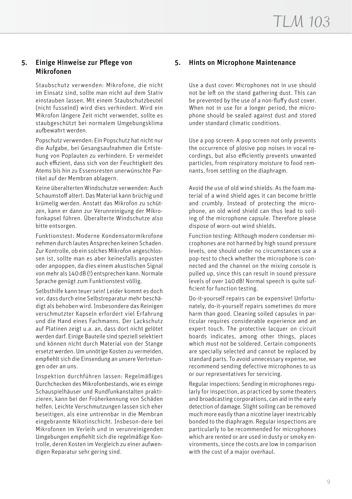# 5. Einige Hinweise zur Pflege von Mikrofonen

Staubschutz verwenden: Mikrofone, die nicht im Einsatz sind, sollte man nicht auf dem Stativ einstauben lassen. Mit einem Staubschutzbeutel (nicht fusselnd) wird dies verhindert. Wird ein Mikrofon längere Zeit nicht verwendet, sollte es staubgeschützt bei normalem Umgebungsklima aufbewahrt werden.

Popschutz verwenden: Ein Popschutz hat nicht nur die Aufgabe, bei Gesangsaufnahmen die Entstehung von Poplauten zu verhindern. Er vermeidet auch effizient, dass sich von der Feuchtigkeit des Atems bis hin zu Essensresten unerwünschte Partikel auf der Membran ablagern.

Keine überalterten Windschutze verwenden: Auch Schaumstoff altert. Das Material kann brüchig und krümelig werden. Anstatt das Mikrofon zu schützen, kann er dann zur Verunreinigung der Mikrofonkapsel führen. Überalterte Windschutze also bitte entsorgen.

Funktionstest: Moderne Kondensatormikrofone nehmen durch lautes Ansprechen keinen Schaden. Zur Kontrolle, ob ein solches Mikrofon angeschlossen ist, sollte man es aber keinesfalls anpusten oder anpoppen, da dies einem akustischen Signal von mehr als 140dB (!) entsprechen kann. Normale Sprache genügt zum Funktionstest völlig.

Selbsthilfe kann teuer sein! Leider kommt es doch vor, dass durch eine Selbstreparatur mehr beschädigt als behoben wird. Insbesondere das Reinigen verschmutzter Kapseln erfordert viel Erfahrung und die Hand eines Fachmanns. Der Lackschutz auf Platinen zeigt u.a. an, dass dort nicht gelötet werden darf. Einige Bauteile sind speziell selektiert und können nicht durch Material von der Stange ersetzt werden. Um unnötige Kosten zu vermeiden, empfiehlt sich die Einsendung an unsere Vertretungen oder an uns.

Inspektion durchführen lassen: Regelmäßiges Durchchecken des Mikrofonbestands, wie es einige Schauspielhäuser und Rundfunkanstalten praktizieren, kann bei der Früherkennung von Schäden helfen. Leichte Verschmutzungen lassen sich eher beseitigen, als eine untrennbar in die Membran eingebrannte Nikotinschicht. Insbeson-dere bei Mikrofonen im Verleih und in verunreinigenden Umgebungen empfiehlt sich die regelmäßige Kontrolle, deren Kosten im Vergleich zu einer aufwendigen Reparatur sehr gering sind.

### 5. Hints on Microphone Maintenance

Use a dust cover: Microphones not in use should not be left on the stand gathering dust. This can be prevented by the use of a non-fluffy dust cover. When not in use for a longer period, the microphone should be sealed against dust and stored under standard climatic conditions.

Use a pop screen: A pop screen not only prevents the occurrence of plosive pop noises in vocal recordings, but also efficiently prevents unwanted particles, from respiratory moisture to food remnants, from settling on the diaphragm.

Avoid the use of old wind shields: As the foam material of a wind shield ages it can become brittle and crumbly. Instead of protecting the microphone, an old wind shield can thus lead to soiling of the microphone capsule. Therefore please dispose of worn-out wind shields.

Function testing: Although modern condenser microphones are not harmed by high sound pressure levels, one should under no circumstances use a pop-test to check whether the microphone is connected and the channel on the mixing console is pulled up, since this can result in sound pressure levels of over 140dB! Normal speech is quite sufficient for function testing.

Do-it-yourself repairs can be expensive! Unfortunately, do-it-yourself repairs sometimes do more harm than good. Cleaning soiled capsules in particular requires considerable experience and an expert touch. The protective lacquer on circuit boards indicates, among other things, places which must not be soldered. Certain components are specially selected and cannot be replaced by standard parts. To avoid unnecessary expense, we recommend sending defective microphones to us or our representatives for servicing.

Regular inspections: Sending in microphones regularly for inspection, as practiced by some theaters and broadcasting corporations, can aid in the early detection of damage. Slight soiling can be removed much more easily than a nicotine layer inextricably bonded to the diaphragm. Regular inspections are particularly to be recommended for microphones which are rented or are used in dusty or smoky environments, since the costs are low in comparison with the cost of a major overhaul.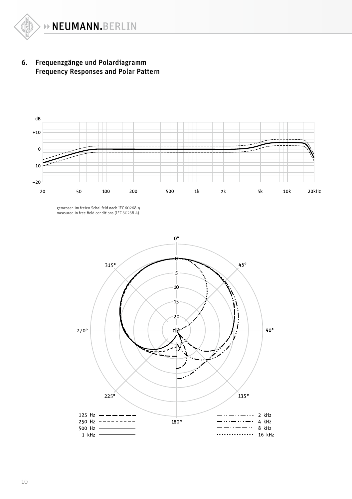



gemessen im freien Schallfeld nach IEC 60268-4 measured in free-field conditions (IEC 60268-4)

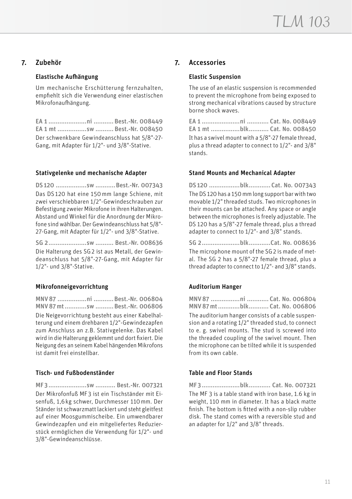# 7. Zubehör

# Elastische Aufhängung

Um mechanische Erschütterung fernzuhalten, empfiehlt sich die Verwendung einer elastischen Mikrofonaufhängung.

EA 1 .....................ni ........... Best.-Nr. 008449 EA 1 mt ................sw .......... Best.-Nr. 008450 Der schwenkbare Gewindeanschluss hat 5/8"-27- Gang, mit Adapter für 1/2"- und 3/8"-Stative.

### Stativgelenke und mechanische Adapter

DS120 .................sw ...........Best.-Nr. 007343 Das DS 120 hat eine 150mm lange Schiene, mit zwei verschiebbaren 1/2"-Gewindeschrauben zur Befestigung zweier Mikrofone in ihren Halterungen. Abstand und Winkel für die Anordnung der Mikrofone sind wählbar. Der Gewindeanschluss hat 5/8"- 27-Gang, mit Adapter für 1/2"- und 3/8"-Stative.

SG 2.....................sw .......... Best.-Nr. 008636 Die Halterung des SG2 ist aus Metall, der Gewindeanschluss hat 5/8"-27-Gang, mit Adapter für 1/2"- und 3/8"-Stative.

# Mikrofonneigevorrichtung

MNV87 ................ni ...........Best.-Nr. 006804 MNV87mt............sw ..........Best.-Nr. 006806 Die Neigevorrichtung besteht aus einer Kabelhalterung und einem drehbaren 1/2"-Gewindezapfen zum Anschluss an z.B. Stativgelenke. Das Kabel wird in die Halterung geklemmt und dort fixiert. Die Neigung des an seinem Kabel hängenden Mikrofons ist damit frei einstellbar.

# Tisch- und Fußbodenständer

MF3.....................sw ........... Best.-Nr. 007321 Der Mikrofonfuß MF 3 ist ein Tischständer mit Eisenfuß, 1,6kg schwer, Durchmesser 110mm. Der Ständer ist schwarzmatt lackiert und steht gleitfest auf einer Moosgummischeibe. Ein umwendbarer Gewindezapfen und ein mitgeliefertes Reduzierstück ermöglichen die Verwendung für 1/2"- und 3/8"-Gewindeanschlüsse.

# 7. Accessories

### Elastic Suspension

The use of an elastic suspension is recommended to prevent the microphone from being exposed to strong mechanical vibrations caused by structure borne shock waves.

EA 1 .....................ni ............ Cat. No. 008449 EA 1 mt ................blk........... Cat. No. 008450 It has a swivel mount with a 5/8"-27 female thread, plus a thread adapter to connect to 1/2"- and 3/8" stands.

# Stand Mounts and Mechanical Adapter

DS120 .................blk............Cat. No. 007343 The DS 120 has a 150 mm long support bar with two movable 1/2" threaded studs. Two microphones in their mounts can be attached. Any space or angle between the microphones is freely adjustable. The DS 120 has a 5/8"-27 female thread, plus a thread adapter to connect to 1/2"- and 3/8" stands.

SG 2.....................blk............Cat. No. 008636 The microphone mount of the SG2 is made of metal. The SG 2 has a 5/8"-27 female thread, plus a thread adapter to connect to 1/2"- and 3/8" stands.

# Auditorium Hanger

MNV87 ................ni ............ Cat. No. 006804 MNV87mt............blk........... Cat. No. 006806 The auditorium hanger consists of a cable suspension and a rotating 1/2" threaded stud, to connect to e. g. swivel mounts. The stud is screwed into the threaded coupling of the swivel mount. Then the microphone can be tilted while it is suspended from its own cable.

### Table and Floor Stands

MF3.....................blk............ Cat. No. 007321 The MF 3 is a table stand with iron base, 1.6 kg in weight, 110 mm in diameter. It has a black matte finish. The bottom is fitted with a non-slip rubber disk. The stand comes with a reversible stud and an adapter for 1/2" and 3/8" threads.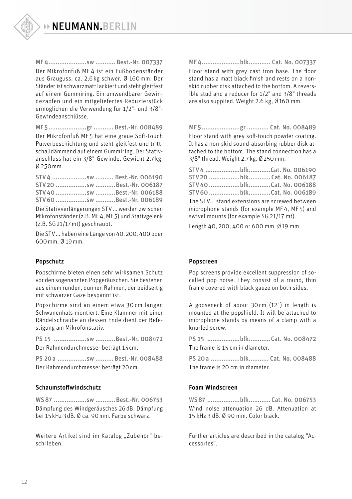MF4.....................sw ........... Best.-Nr. 007337 Der Mikrofonfuß MF 4 ist ein Fußbodenständer aus Grauguss, ca. 2,6 kg schwer, Ø 160mm. Der Ständer ist schwarzmatt lackiert und steht gleitfest auf einem Gummiring. Ein umwendbarer Gewindezapfen und ein mitgeliefertes Reduzierstück ermöglichen die Verwendung für 1/2"- und 3/8"- Gewindeanschlüsse.

MF5.....................gr ........... Best.-Nr. 008489 Der Mikrofonfuß MF 5 hat eine graue Soft-Touch Pulverbeschichtung und steht gleitfest und trittschalldämmend auf einem Gummiring. Der Stativanschluss hat ein 3/8"-Gewinde. Gewicht 2,7 kg, Ø 250mm.

|                                                  |  | STV 20 sw  Best.-Nr. 006187 |  |  |  |  |
|--------------------------------------------------|--|-----------------------------|--|--|--|--|
|                                                  |  | STV 40 sw Best.-Nr. 006188  |  |  |  |  |
|                                                  |  | STV 60 sw Best.-Nr. 006189  |  |  |  |  |
| Die Stativverlängerungen STV werden zwischen     |  |                             |  |  |  |  |
| Mikrofonständer (z.B. MF4. MF5) und Stativgelenk |  |                             |  |  |  |  |
| $(z.B. SG21/17 mt)$ geschraubt.                  |  |                             |  |  |  |  |

Die STV... haben eine Länge von 40, 200, 400 oder 600mm. Ø 19mm.

#### Popschutz

Popschirme bieten einen sehr wirksamen Schutz vor den sogenannten Popgeräuschen. Sie bestehen aus einem runden, dünnen Rahmen, der beidseitig mit schwarzer Gaze bespannt ist.

Popschirme sind an einem etwa 30 cm langen Schwanenhals montiert. Eine Klammer mit einer Rändelschraube an dessen Ende dient der Befestigung am Mikrofonstativ.

PS 15 ..................sw ...........Best.-Nr. 008472 Der Rahmendurchmesser beträgt 15 cm.

PS 20a ................sw .......... Best.-Nr. 008488 Der Rahmendurchmesser beträgt 20cm.

#### Schaumstoffwindschutz

WS87 ..................sw ...........Best.-Nr. 006753 Dämpfung des Windgeräusches 26dB. Dämpfung bei 15 kHz 3dB. Ø ca. 90mm. Farbe schwarz.

Weitere Artikel sind im Katalog "Zubehör" beschrieben.

MF4.....................blk............ Cat. No. 007337 Floor stand with grey cast iron base. The floor stand has a matt black finish and rests on a nonskid rubber disk attached to the bottom. A reversible stud and a reducer for 1/2" and 3/8" threads are also supplied. Weight 2.6 kg, Ø160 mm.

MF5.....................gr ............ Cat. No. 008489 Floor stand with grey soft-touch powder coating. It has a non-skid sound-absorbing rubber disk attached to the bottom. The stand connection has a 3/8" thread. Weight 2.7 kg, Ø250mm.

| STV 20 blk Cat. No. 006187                                                                                                               |  |  |
|------------------------------------------------------------------------------------------------------------------------------------------|--|--|
| STV 40 blkCat. No. 006188                                                                                                                |  |  |
| STV 60 blkCat. No. 006189                                                                                                                |  |  |
| The STV stand extensions are screwed between<br>microphone stands (for example MF4, MF5) and<br>swivel mounts (for example SG 21/17 mt). |  |  |
|                                                                                                                                          |  |  |

Length 40, 200, 400 or 600 mm. Ø19 mm.

#### Popscreen

Pop screens provide excellent suppression of socalled pop noise. They consist of a round, thin frame covered with black gauze on both sides.

A gooseneck of about 30cm (12") in length is mounted at the popshield. It will be attached to microphone stands by means of a clamp with a knurled screw.

PS 15 ..................blk............Cat. No. 008472 The frame is 15 cm in diameter.

PS 20a ................blk........... Cat. No. 008488 The frame is 20 cm in diameter.

#### Foam Windscreen

WS87 ..................blk............ Cat. No. 006753 Wind noise attenuation 26 dB. Attenuation at 15 kHz 3 dB. Ø 90 mm. Color black.

Further articles are described in the catalog "Accessories".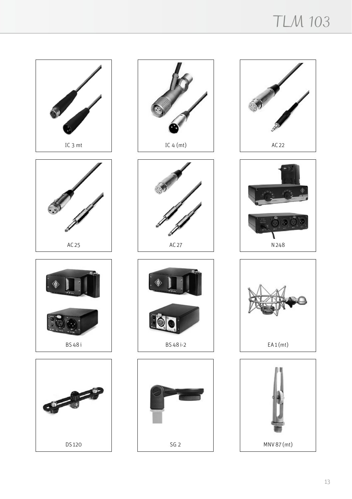# *TLM 103*



AC 25 | | | AC 27 | | N 248 DS 120 SG 2 AC 27

IC  $4$  (mt)







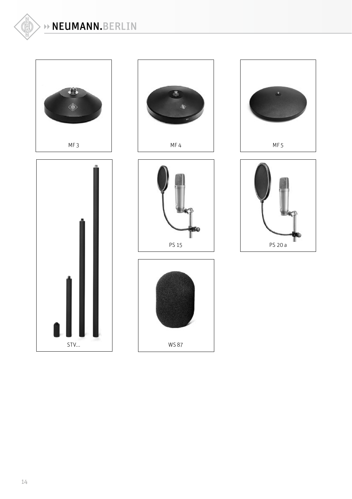# >> NEUMANN.BERLIN



**CHI** 











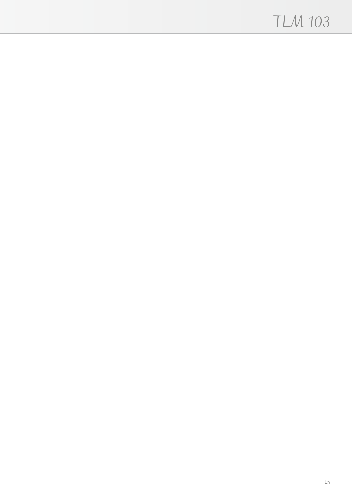# *TLM 103*